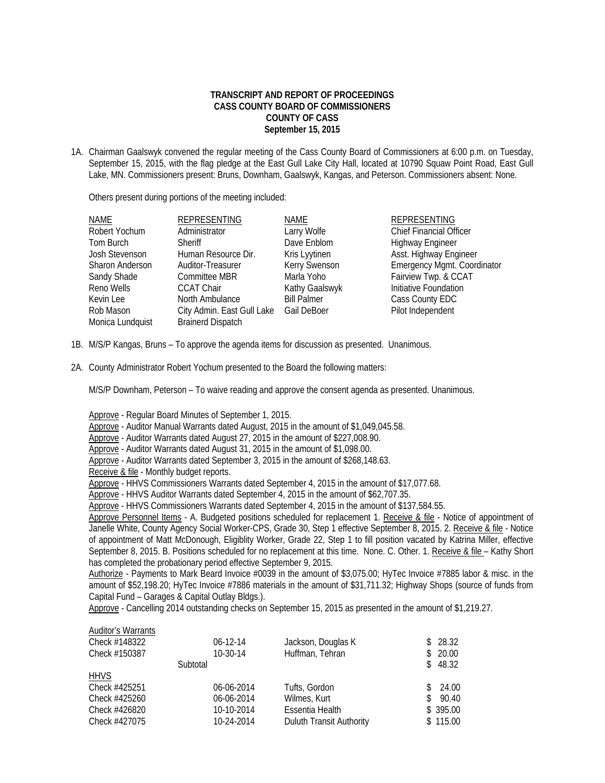## **TRANSCRIPT AND REPORT OF PROCEEDINGS CASS COUNTY BOARD OF COMMISSIONERS COUNTY OF CASS September 15, 2015**

1A. Chairman Gaalswyk convened the regular meeting of the Cass County Board of Commissioners at 6:00 p.m. on Tuesday, September 15, 2015, with the flag pledge at the East Gull Lake City Hall, located at 10790 Squaw Point Road, East Gull Lake, MN. Commissioners present: Bruns, Downham, Gaalswyk, Kangas, and Peterson. Commissioners absent: None.

Others present during portions of the meeting included:

| <b>REPRESENTING</b>        | NAME                     | REPRESENTING                   |
|----------------------------|--------------------------|--------------------------------|
| Administrator              | Larry Wolfe              | <b>Chief Financial Officer</b> |
| <b>Sheriff</b>             | Dave Enblom              | <b>Highway Engineer</b>        |
| Human Resource Dir.        | Kris Lyytinen            | Asst. Highway Engineer         |
| Auditor-Treasurer          | <b>Kerry Swenson</b>     | Emergency Mgmt. Coordinator    |
| Committee MBR              | Marla Yoho               | Fairview Twp. & CCAT           |
| <b>CCAT Chair</b>          | Kathy Gaalswyk           | Initiative Foundation          |
| North Ambulance            | <b>Bill Palmer</b>       | Cass County EDC                |
| City Admin. East Gull Lake | Gail DeBoer              | Pilot Independent              |
|                            |                          |                                |
|                            | <b>Brainerd Dispatch</b> |                                |

- 1B. M/S/P Kangas, Bruns To approve the agenda items for discussion as presented. Unanimous.
- 2A. County Administrator Robert Yochum presented to the Board the following matters:

M/S/P Downham, Peterson – To waive reading and approve the consent agenda as presented. Unanimous.

Approve - Regular Board Minutes of September 1, 2015.

Approve - Auditor Manual Warrants dated August, 2015 in the amount of \$1,049,045.58.

Approve - Auditor Warrants dated August 27, 2015 in the amount of \$227,008.90.

Approve - Auditor Warrants dated August 31, 2015 in the amount of \$1,098.00.

- Approve Auditor Warrants dated September 3, 2015 in the amount of \$268,148.63.
- Receive & file Monthly budget reports.

Approve - HHVS Commissioners Warrants dated September 4, 2015 in the amount of \$17,077.68.

Approve - HHVS Auditor Warrants dated September 4, 2015 in the amount of \$62,707.35.

Approve - HHVS Commissioners Warrants dated September 4, 2015 in the amount of \$137,584.55.

Approve Personnel Items - A. Budgeted positions scheduled for replacement 1. Receive & file - Notice of appointment of Janelle White, County Agency Social Worker-CPS, Grade 30, Step 1 effective September 8, 2015. 2. Receive & file - Notice of appointment of Matt McDonough, Eligiblity Worker, Grade 22, Step 1 to fill position vacated by Katrina Miller, effective September 8, 2015. B. Positions scheduled for no replacement at this time. None. C. Other. 1. Receive & file – Kathy Short has completed the probationary period effective September 9, 2015.

Authorize - Payments to Mark Beard Invoice #0039 in the amount of \$3,075.00; HyTec Invoice #7885 labor & misc. in the amount of \$52,198.20; HyTec Invoice #7886 materials in the amount of \$31,711.32; Highway Shops (source of funds from Capital Fund – Garages & Capital Outlay Bldgs.).

Approve - Cancelling 2014 outstanding checks on September 15, 2015 as presented in the amount of \$1,219.27.

| <b>Auditor's Warrants</b><br>Check #148322<br>Check #150387 | $06-12-14$<br>$10-30-14$ | Jackson, Douglas K<br>Huffman, Tehran | S. | \$28.32<br>20.00 |
|-------------------------------------------------------------|--------------------------|---------------------------------------|----|------------------|
|                                                             | Subtotal                 |                                       |    | \$48.32          |
| <b>HHVS</b>                                                 |                          |                                       |    |                  |
| Check #425251                                               | 06-06-2014               | Tufts, Gordon                         |    | 24.00            |
| Check #425260                                               | 06-06-2014               | Wilmes, Kurt                          |    | 90.40            |
| Check #426820                                               | 10-10-2014               | Essentia Health                       |    | \$395.00         |
| Check #427075                                               | 10-24-2014               | Duluth Transit Authority              |    | \$115.00         |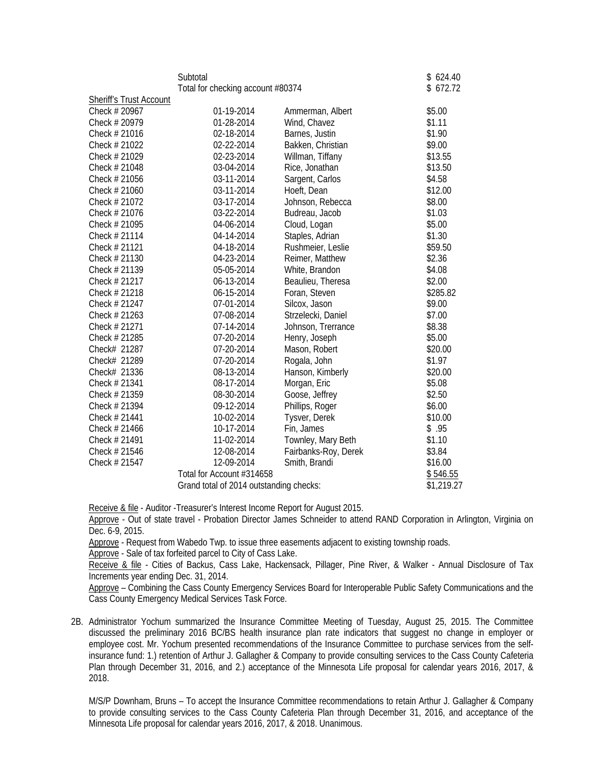|                                                                      | Subtotal<br>Total for checking account #80374 | \$624.40<br>\$672.72 |            |
|----------------------------------------------------------------------|-----------------------------------------------|----------------------|------------|
| <b>Sheriff's Trust Account</b>                                       |                                               |                      |            |
| Check # 20967                                                        | 01-19-2014                                    | Ammerman, Albert     | \$5.00     |
| Check # 20979                                                        | 01-28-2014                                    | Wind, Chavez         | \$1.11     |
| Check # 21016                                                        | 02-18-2014                                    | Barnes, Justin       | \$1.90     |
| Check # 21022                                                        | 02-22-2014                                    | Bakken, Christian    | \$9.00     |
| Check # 21029                                                        | 02-23-2014                                    | Willman, Tiffany     | \$13.55    |
| Check # 21048                                                        | 03-04-2014                                    | Rice, Jonathan       | \$13.50    |
| Check # 21056                                                        | 03-11-2014                                    | Sargent, Carlos      | \$4.58     |
| Check # 21060                                                        | 03-11-2014                                    | Hoeft, Dean          | \$12.00    |
| Check # 21072                                                        | 03-17-2014                                    | Johnson, Rebecca     | \$8.00     |
| Check # 21076                                                        | 03-22-2014                                    | Budreau, Jacob       | \$1.03     |
| Check # 21095                                                        | 04-06-2014                                    | Cloud, Logan         | \$5.00     |
| Check # 21114                                                        | 04-14-2014                                    | Staples, Adrian      | \$1.30     |
| Check # 21121                                                        | 04-18-2014                                    | Rushmeier, Leslie    | \$59.50    |
| Check # 21130                                                        | 04-23-2014                                    | Reimer, Matthew      | \$2.36     |
| Check # 21139                                                        | 05-05-2014                                    | White, Brandon       | \$4.08     |
| Check # 21217                                                        | 06-13-2014                                    | Beaulieu, Theresa    | \$2.00     |
| Check # 21218                                                        | 06-15-2014                                    | Foran, Steven        | \$285.82   |
| Check # 21247                                                        | 07-01-2014                                    | Silcox, Jason        | \$9.00     |
| Check # 21263                                                        | 07-08-2014                                    | Strzelecki, Daniel   | \$7.00     |
| Check # 21271                                                        | 07-14-2014                                    | Johnson, Trerrance   | \$8.38     |
| Check # 21285                                                        | 07-20-2014                                    | Henry, Joseph        | \$5.00     |
| Check# 21287                                                         | 07-20-2014                                    | Mason, Robert        | \$20.00    |
| Check# 21289                                                         | 07-20-2014                                    | Rogala, John         | \$1.97     |
| Check# 21336                                                         | 08-13-2014                                    | Hanson, Kimberly     | \$20.00    |
| Check # 21341                                                        | 08-17-2014                                    | Morgan, Eric         | \$5.08     |
| Check # 21359                                                        | 08-30-2014                                    | Goose, Jeffrey       | \$2.50     |
| Check # 21394                                                        | 09-12-2014                                    | Phillips, Roger      | \$6.00     |
| Check # 21441                                                        | 10-02-2014                                    | Tysver, Derek        | \$10.00    |
| Check # 21466                                                        | 10-17-2014                                    | Fin, James           | \$.95      |
| Check # 21491                                                        | 11-02-2014                                    | Townley, Mary Beth   | \$1.10     |
| Check # 21546                                                        | 12-08-2014                                    | Fairbanks-Roy, Derek | \$3.84     |
| Check # 21547                                                        | 12-09-2014                                    | Smith, Brandi        | \$16.00    |
| Total for Account #314658<br>Grand total of 2014 outstanding checks: |                                               |                      | \$546.55   |
|                                                                      |                                               |                      | \$1,219.27 |

Receive & file - Auditor -Treasurer's Interest Income Report for August 2015.

Approve - Out of state travel - Probation Director James Schneider to attend RAND Corporation in Arlington, Virginia on Dec. 6-9, 2015.

Approve - Request from Wabedo Twp. to issue three easements adjacent to existing township roads.

Approve - Sale of tax forfeited parcel to City of Cass Lake.

Receive & file - Cities of Backus, Cass Lake, Hackensack, Pillager, Pine River, & Walker - Annual Disclosure of Tax Increments year ending Dec. 31, 2014.

Approve - Combining the Cass County Emergency Services Board for Interoperable Public Safety Communications and the Cass County Emergency Medical Services Task Force.

2B. Administrator Yochum summarized the Insurance Committee Meeting of Tuesday, August 25, 2015. The Committee discussed the preliminary 2016 BC/BS health insurance plan rate indicators that suggest no change in employer or employee cost. Mr. Yochum presented recommendations of the Insurance Committee to purchase services from the selfinsurance fund: 1.) retention of Arthur J. Gallagher & Company to provide consulting services to the Cass County Cafeteria Plan through December 31, 2016, and 2.) acceptance of the Minnesota Life proposal for calendar years 2016, 2017, & 2018.

 M/S/P Downham, Bruns – To accept the Insurance Committee recommendations to retain Arthur J. Gallagher & Company to provide consulting services to the Cass County Cafeteria Plan through December 31, 2016, and acceptance of the Minnesota Life proposal for calendar years 2016, 2017, & 2018. Unanimous.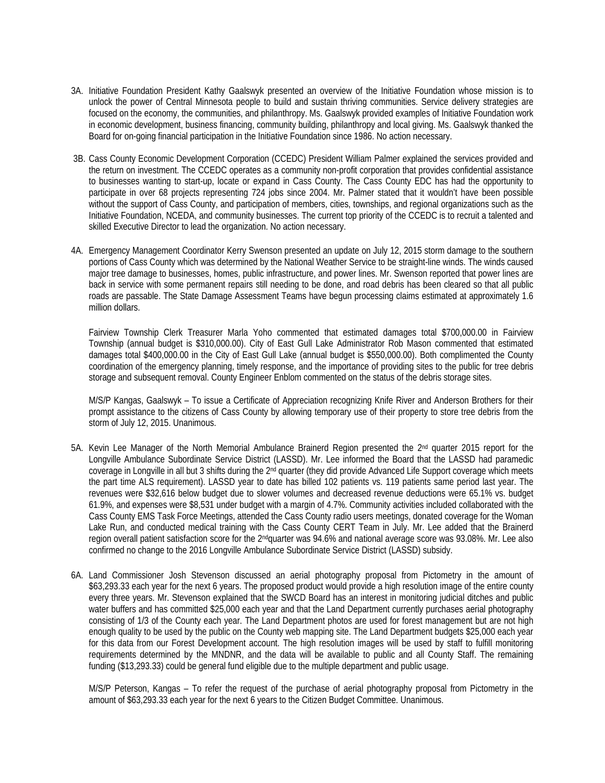- 3A. Initiative Foundation President Kathy Gaalswyk presented an overview of the Initiative Foundation whose mission is to unlock the power of Central Minnesota people to build and sustain thriving communities. Service delivery strategies are focused on the economy, the communities, and philanthropy. Ms. Gaalswyk provided examples of Initiative Foundation work in economic development, business financing, community building, philanthropy and local giving. Ms. Gaalswyk thanked the Board for on-going financial participation in the Initiative Foundation since 1986. No action necessary.
- 3B. Cass County Economic Development Corporation (CCEDC) President William Palmer explained the services provided and the return on investment. The CCEDC operates as a community non-profit corporation that provides confidential assistance to businesses wanting to start-up, locate or expand in Cass County. The Cass County EDC has had the opportunity to participate in over 68 projects representing 724 jobs since 2004. Mr. Palmer stated that it wouldn't have been possible without the support of Cass County, and participation of members, cities, townships, and regional organizations such as the Initiative Foundation, NCEDA, and community businesses. The current top priority of the CCEDC is to recruit a talented and skilled Executive Director to lead the organization. No action necessary.
- 4A. Emergency Management Coordinator Kerry Swenson presented an update on July 12, 2015 storm damage to the southern portions of Cass County which was determined by the National Weather Service to be straight-line winds. The winds caused major tree damage to businesses, homes, public infrastructure, and power lines. Mr. Swenson reported that power lines are back in service with some permanent repairs still needing to be done, and road debris has been cleared so that all public roads are passable. The State Damage Assessment Teams have begun processing claims estimated at approximately 1.6 million dollars.

Fairview Township Clerk Treasurer Marla Yoho commented that estimated damages total \$700,000.00 in Fairview Township (annual budget is \$310,000.00). City of East Gull Lake Administrator Rob Mason commented that estimated damages total \$400,000.00 in the City of East Gull Lake (annual budget is \$550,000.00). Both complimented the County coordination of the emergency planning, timely response, and the importance of providing sites to the public for tree debris storage and subsequent removal. County Engineer Enblom commented on the status of the debris storage sites.

M/S/P Kangas, Gaalswyk – To issue a Certificate of Appreciation recognizing Knife River and Anderson Brothers for their prompt assistance to the citizens of Cass County by allowing temporary use of their property to store tree debris from the storm of July 12, 2015. Unanimous.

- 5A. Kevin Lee Manager of the North Memorial Ambulance Brainerd Region presented the 2nd quarter 2015 report for the Longville Ambulance Subordinate Service District (LASSD). Mr. Lee informed the Board that the LASSD had paramedic coverage in Longville in all but 3 shifts during the 2<sup>nd</sup> quarter (they did provide Advanced Life Support coverage which meets the part time ALS requirement). LASSD year to date has billed 102 patients vs. 119 patients same period last year. The revenues were \$32,616 below budget due to slower volumes and decreased revenue deductions were 65.1% vs. budget 61.9%, and expenses were \$8,531 under budget with a margin of 4.7%. Community activities included collaborated with the Cass County EMS Task Force Meetings, attended the Cass County radio users meetings, donated coverage for the Woman Lake Run, and conducted medical training with the Cass County CERT Team in July. Mr. Lee added that the Brainerd region overall patient satisfaction score for the 2ndquarter was 94.6% and national average score was 93.08%. Mr. Lee also confirmed no change to the 2016 Longville Ambulance Subordinate Service District (LASSD) subsidy.
- 6A. Land Commissioner Josh Stevenson discussed an aerial photography proposal from Pictometry in the amount of \$63,293.33 each year for the next 6 years. The proposed product would provide a high resolution image of the entire county every three years. Mr. Stevenson explained that the SWCD Board has an interest in monitoring judicial ditches and public water buffers and has committed \$25,000 each year and that the Land Department currently purchases aerial photography consisting of 1/3 of the County each year. The Land Department photos are used for forest management but are not high enough quality to be used by the public on the County web mapping site. The Land Department budgets \$25,000 each year for this data from our Forest Development account. The high resolution images will be used by staff to fulfill monitoring requirements determined by the MNDNR, and the data will be available to public and all County Staff. The remaining funding (\$13,293.33) could be general fund eligible due to the multiple department and public usage.

M/S/P Peterson, Kangas – To refer the request of the purchase of aerial photography proposal from Pictometry in the amount of \$63,293.33 each year for the next 6 years to the Citizen Budget Committee. Unanimous.